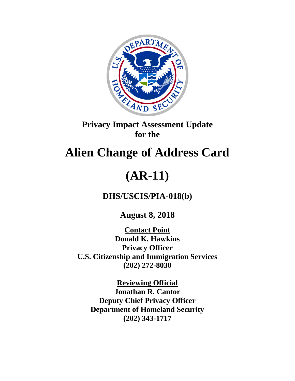

## **Privacy Impact Assessment Update for the**

## **Alien Change of Address Card**

# **(AR-11)**

**DHS/USCIS/PIA-018(b)**

**August 8, 2018**

**Contact Point Donald K. Hawkins Privacy Officer U.S. Citizenship and Immigration Services (202) 272-8030**

**Reviewing Official Jonathan R. Cantor Deputy Chief Privacy Officer Department of Homeland Security (202) 343-1717**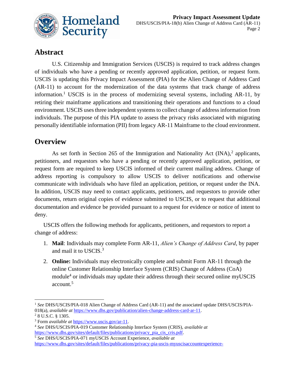

## **Abstract**

U.S. Citizenship and Immigration Services (USCIS) is required to track address changes of individuals who have a pending or recently approved application, petition, or request form. USCIS is updating this Privacy Impact Assessment (PIA) for the Alien Change of Address Card (AR-11) to account for the modernization of the data systems that track change of address information. <sup>1</sup> USCIS is in the process of modernizing several systems, including AR-11, by retiring their mainframe applications and transitioning their operations and functions to a cloud environment. USCIS uses three independent systems to collect change of address information from individuals. The purpose of this PIA update to assess the privacy risks associated with migrating personally identifiable information (PII) from legacy AR-11 Mainframe to the cloud environment.

## **Overview**

As set forth in Section 265 of the Immigration and Nationality Act  $(INA)$ , applicants, petitioners, and requestors who have a pending or recently approved application, petition, or request form are required to keep USCIS informed of their current mailing address. Change of address reporting is compulsory to allow USCIS to deliver notifications and otherwise communicate with individuals who have filed an application, petition, or request under the INA. In addition, USCIS may need to contact applicants, petitioners, and requestors to provide other documents, return original copies of evidence submitted to USCIS, or to request that additional documentation and evidence be provided pursuant to a request for evidence or notice of intent to deny.

USCIS offers the following methods for applicants, petitioners, and requestors to report a change of address:

- 1. **Mail**: Individuals may complete Form AR-11, *Alien's Change of Address Card*, by paper and mail it to USCIS.<sup>3</sup>
- 2. **Online:** Individuals may electronically complete and submit Form AR-11 through the online Customer Relationship Interface System (CRIS) Change of Address (CoA) module<sup>4</sup> or individuals may update their address through their secured online myUSCIS account.<sup>5</sup>

1

<sup>1</sup> *See* DHS/USCIS/PIA-018 Alien Change of Address Card (AR-11) and the associated update DHS/USCIS/PIA-018(a), *available at* [https://www.dhs.gov/publication/alien-change-address-card-ar-11.](https://www.dhs.gov/publication/alien-change-address-card-ar-11)  <sup>2</sup> 8 U.S.C. § 1305.

<sup>&</sup>lt;sup>3</sup> Form *available at* [https://www.uscis.gov/ar-11.](https://www.uscis.gov/ar-11)

<sup>4</sup> *See* DHS/USCIS/PIA-019 Customer Relationship Interface System (CRIS), *available at*  [https://www.dhs.gov/sites/default/files/publications/privacy\\_pia\\_cis\\_cris.pdf.](https://www.dhs.gov/sites/default/files/publications/privacy_pia_cis_cris.pdf)

<sup>5</sup> *See* DHS/USCIS/PIA-071 myUSCIS Account Experience, *available at* [https://www.dhs.gov/sites/default/files/publications/privacy-pia-uscis-myuscisaccountexperience-](https://www.dhs.gov/sites/default/files/publications/privacy-pia-uscis-myuscisaccountexperience-december2017.pdf)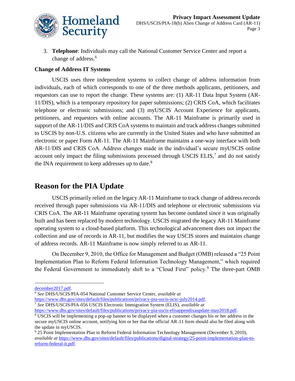

3. **Telephone**: Individuals may call the National Customer Service Center and report a change of address.<sup>6</sup>

#### **Change of Address IT Systems**

USCIS uses three independent systems to collect change of address information from individuals, each of which corresponds to one of the three methods applicants, petitioners, and requestors can use to report the change. These systems are: (1) AR-11 Data Input System (AR-11/DIS), which is a temporary repository for paper submissions; (2) CRIS CoA, which facilitates telephone or electronic submissions; and (3) myUSCIS Account Experience for applicants, petitioners, and requestors with online accounts. The AR-11 Mainframe is primarily used in support of the AR-11/DIS and CRIS CoA systems to maintain and track address changes submitted to USCIS by non-U.S. citizens who are currently in the United States and who have submitted an electronic or paper Form AR-11. The AR-11 Mainframe maintains a one-way interface with both AR-11/DIS and CRIS CoA. Address changes made in the individual's secure myUSCIS online account only impact the filing submissions processed through USCIS ELIS, $<sup>7</sup>$  and do not satisfy</sup> the INA requirement to keep addresses up to date. $8$ 

## **Reason for the PIA Update**

USCIS primarily relied on the legacy AR-11 Mainframe to track change of address records received through paper submissions via AR-11/DIS and telephone or electronic submissions via CRIS CoA. The AR-11 Mainframe operating system has become outdated since it was originally built and has been replaced by modern technology. USCIS migrated the legacy AR-11 Mainframe operating system to a cloud-based platform. This technological advancement does not impact the collection and use of records in AR-11, but modifies the way USCIS stores and maintains change of address records. AR-11 Mainframe is now simply referred to as AR-11.

On December 9, 2010, the Office for Management and Budget (OMB) released a "25 Point Implementation Plan to Reform Federal Information Technology Management," which required the Federal Government to immediately shift to a "Cloud First" policy.<sup>9</sup> The three-part OMB

 $\overline{a}$ 

[https://www.dhs.gov/sites/default/files/publications/privacy-pia-uscis-ncsc-july2014.pdf.](https://www.dhs.gov/sites/default/files/publications/privacy-pia-uscis-ncsc-july2014.pdf)

<sup>7</sup> *See* DHS/USCIS/PIA-056 USCIS Electronic Immigration System (ELIS), *available at* 

[december2017.pdf.](https://www.dhs.gov/sites/default/files/publications/privacy-pia-uscis-myuscisaccountexperience-december2017.pdf)

<sup>6</sup> *See* DHS/USCIS/PIA-054 National Customer Service Center, *available at*

[https://www.dhs.gov/sites/default/files/publications/privacy-pia-uscis-elisappendixaupdate-may2018.pdf.](https://www.dhs.gov/sites/default/files/publications/privacy-pia-uscis-elisappendixaupdate-may2018.pdf)

<sup>8</sup> USCIS will be implementing a pop-up banner to be displayed when a customer changes his or her address in the secure myUSCIS online account, notifying him or her that the official AR-11 form should also be filed along with the update in myUSCIS.

<sup>9</sup> 25 Point Implementation Plan to Reform Federal Information Technology Management (December 9, 2010), *available at* [https://www.dhs.gov/sites/default/files/publications/digital-strategy/25-point-implementation-plan-to](https://www.dhs.gov/sites/default/files/publications/digital-strategy/25-point-implementation-plan-to-reform-federal-it.pdf)[reform-federal-it.pdf.](https://www.dhs.gov/sites/default/files/publications/digital-strategy/25-point-implementation-plan-to-reform-federal-it.pdf)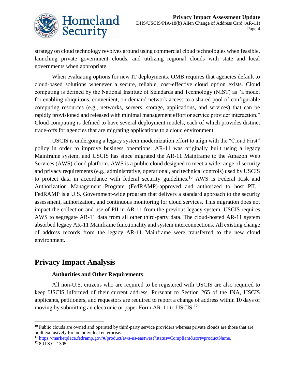

strategy on cloud technology revolves around using commercial cloud technologies when feasible, launching private government clouds, and utilizing regional clouds with state and local governments when appropriate.

When evaluating options for new IT deployments, OMB requires that agencies default to cloud-based solutions whenever a secure, reliable, cost-effective cloud option exists. Cloud computing is defined by the National Institute of Standards and Technology (NIST) as "a model for enabling ubiquitous, convenient, on-demand network access to a shared pool of configurable computing resources (e.g., networks, servers, storage, applications, and services) that can be rapidly provisioned and released with minimal management effort or service provider interaction." Cloud computing is defined to have several deployment models, each of which provides distinct trade-offs for agencies that are migrating applications to a cloud environment.

USCIS is undergoing a legacy system modernization effort to align with the "Cloud First" policy in order to improve business operations. AR-11 was originally built using a legacy Mainframe system, and USCIS has since migrated the AR-11 Mainframe to the Amazon Web Services (AWS) cloud platform. AWS is a public cloud designed to meet a wide range of security and privacy requirements (e.g., administrative, operational, and technical controls) used by USCIS to protect data in accordance with federal security guidelines.<sup>10</sup> AWS is Federal Risk and Authorization Management Program (FedRAMP)-approved and authorized to host PII.<sup>11</sup> FedRAMP is a U.S. Government-wide program that delivers a standard approach to the security assessment, authorization, and continuous monitoring for cloud services. This migration does not impact the collection and use of PII in AR-11 from the previous legacy system. USCIS requires AWS to segregate AR-11 data from all other third-party data. The cloud-hosted AR-11 system absorbed legacy AR-11 Mainframe functionality and system interconnections. All existing change of address records from the legacy AR-11 Mainframe were transferred to the new cloud environment.

## **Privacy Impact Analysis**

 $\overline{a}$ 

#### **Authorities and Other Requirements**

All non-U.S. citizens who are required to be registered with USCIS are also required to keep USCIS informed of their current address. Pursuant to Section 265 of the INA, USCIS applicants, petitioners, and requestors are required to report a change of address within 10 days of moving by submitting an electronic or paper Form AR-11 to USCIS.<sup>12</sup>

<sup>11</sup> [https://marketplace.fedramp.gov/#/product/aws-us-eastwest?status=Compliant&sort=productName.](https://marketplace.fedramp.gov/#/product/aws-us-eastwest?status=Compliant&sort=productName) <sup>12</sup> 8 U.S.C. 1305.

<sup>&</sup>lt;sup>10</sup> Public clouds are owned and operated by third-party service providers whereas private clouds are those that are built exclusively for an individual enterprise.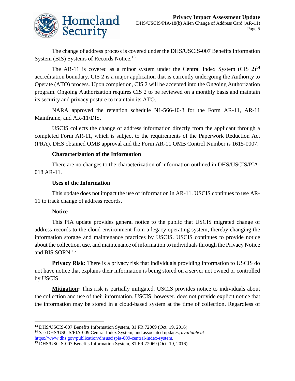

The change of address process is covered under the DHS/USCIS-007 Benefits Information System (BIS) Systems of Records Notice.<sup>13</sup>

The AR-11 is covered as a minor system under the Central Index System (CIS  $2)^{14}$ accreditation boundary. CIS 2 is a major application that is currently undergoing the Authority to Operate (ATO) process. Upon completion, CIS 2 will be accepted into the Ongoing Authorization program. Ongoing Authorization requires CIS 2 to be reviewed on a monthly basis and maintain its security and privacy posture to maintain its ATO.

NARA approved the retention schedule N1-566-10-3 for the Form AR-11, AR-11 Mainframe, and AR-11/DIS.

USCIS collects the change of address information directly from the applicant through a completed Form AR-11, which is subject to the requirements of the Paperwork Reduction Act (PRA). DHS obtained OMB approval and the Form AR-11 OMB Control Number is 1615-0007.

#### **Characterization of the Information**

There are no changes to the characterization of information outlined in DHS/USCIS/PIA-018 AR-11.

#### **Uses of the Information**

This update does not impact the use of information in AR-11. USCIS continues to use AR-11 to track change of address records.

#### **Notice**

This PIA update provides general notice to the public that USCIS migrated change of address records to the cloud environment from a legacy operating system, thereby changing the information storage and maintenance practices by USCIS. USCIS continues to provide notice about the collection, use, and maintenance of information to individuals through the Privacy Notice and BIS SORN.<sup>15</sup>

**Privacy Risk:** There is a privacy risk that individuals providing information to USCIS do not have notice that explains their information is being stored on a server not owned or controlled by USCIS.

**Mitigation:** This risk is partially mitigated. USCIS provides notice to individuals about the collection and use of their information. USCIS, however, does not provide explicit notice that the information may be stored in a cloud-based system at the time of collection. Regardless of

 $\overline{a}$ <sup>13</sup> DHS/USCIS-007 Benefits Information System, 81 FR 72069 (Oct. 19, 2016).

<sup>14</sup> *See* DHS/USCIS/PIA-009 Central Index System, and associated updates, *available at*  [https://www.dhs.gov/publication/dhsuscispia-009-central-index-system.](https://www.dhs.gov/publication/dhsuscispia-009-central-index-system)

<sup>15</sup> DHS/USCIS-007 Benefits Information System, 81 FR 72069 (Oct. 19, 2016).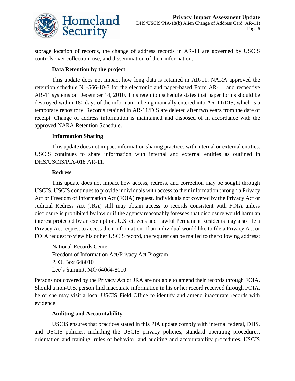

storage location of records, the change of address records in AR-11 are governed by USCIS controls over collection, use, and dissemination of their information.

#### **Data Retention by the project**

This update does not impact how long data is retained in AR-11. NARA approved the retention schedule N1-566-10-3 for the electronic and paper-based Form AR-11 and respective AR-11 systems on December 14, 2010. This retention schedule states that paper forms should be destroyed within 180 days of the information being manually entered into AR-11/DIS, which is a temporary repository. Records retained in AR-11/DIS are deleted after two years from the date of receipt. Change of address information is maintained and disposed of in accordance with the approved NARA Retention Schedule.

#### **Information Sharing**

This update does not impact information sharing practices with internal or external entities. USCIS continues to share information with internal and external entities as outlined in DHS/USCIS/PIA-018 AR-11.

#### **Redress**

This update does not impact how access, redress, and correction may be sought through USCIS. USCIS continues to provide individuals with access to their information through a Privacy Act or Freedom of Information Act (FOIA) request. Individuals not covered by the Privacy Act or Judicial Redress Act (JRA) still may obtain access to records consistent with FOIA unless disclosure is prohibited by law or if the agency reasonably foresees that disclosure would harm an interest protected by an exemption. U.S. citizens and Lawful Permanent Residents may also file a Privacy Act request to access their information. If an individual would like to file a Privacy Act or FOIA request to view his or her USCIS record, the request can be mailed to the following address:

National Records Center Freedom of Information Act/Privacy Act Program P. O. Box 648010 Lee's Summit, MO 64064-8010

Persons not covered by the Privacy Act or JRA are not able to amend their records through FOIA. Should a non-U.S. person find inaccurate information in his or her record received through FOIA, he or she may visit a local USCIS Field Office to identify and amend inaccurate records with evidence

#### **Auditing and Accountability**

USCIS ensures that practices stated in this PIA update comply with internal federal, DHS, and USCIS policies, including the USCIS privacy policies, standard operating procedures, orientation and training, rules of behavior, and auditing and accountability procedures. USCIS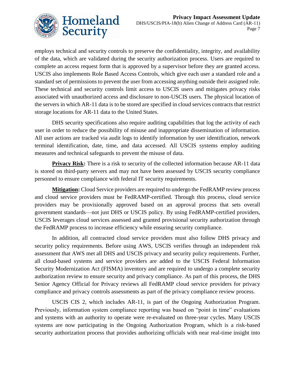

employs technical and security controls to preserve the confidentiality, integrity, and availability of the data, which are validated during the security authorization process. Users are required to complete an access request form that is approved by a supervisor before they are granted access. USCIS also implements Role Based Access Controls, which give each user a standard role and a standard set of permissions to prevent the user from accessing anything outside their assigned role. These technical and security controls limit access to USCIS users and mitigates privacy risks associated with unauthorized access and disclosure to non-USCIS users. The physical location of the servers in which AR-11 data is to be stored are specified in cloud services contracts that restrict storage locations for AR-11 data to the United States.

DHS security specifications also require auditing capabilities that log the activity of each user in order to reduce the possibility of misuse and inappropriate dissemination of information. All user actions are tracked via audit logs to identify information by user identification, network terminal identification, date, time, and data accessed. All USCIS systems employ auditing measures and technical safeguards to prevent the misuse of data.

**Privacy Risk:** There is a risk to security of the collected information because AR-11 data is stored on third-party servers and may not have been assessed by USCIS security compliance personnel to ensure compliance with federal IT security requirements.

**Mitigation:** Cloud Service providers are required to undergo the FedRAMP review process and cloud service providers must be FedRAMP-certified. Through this process, cloud service providers may be provisionally approved based on an approval process that sets overall government standards—not just DHS or USCIS policy. By using FedRAMP-certified providers, USCIS leverages cloud services assessed and granted provisional security authorization through the FedRAMP process to increase efficiency while ensuring security compliance.

In addition, all contracted cloud service providers must also follow DHS privacy and security policy requirements. Before using AWS, USCIS verifies through an independent risk assessment that AWS met all DHS and USCIS privacy and security policy requirements. Further, all cloud-based systems and service providers are added to the USCIS Federal Information Security Modernization Act (FISMA) inventory and are required to undergo a complete security authorization review to ensure security and privacy compliance. As part of this process, the DHS Senior Agency Official for Privacy reviews all FedRAMP cloud service providers for privacy compliance and privacy controls assessments as part of the privacy compliance review process.

USCIS CIS 2, which includes AR-11, is part of the Ongoing Authorization Program. Previously, information system compliance reporting was based on "point in time" evaluations and systems with an authority to operate were re-evaluated on three-year cycles. Many USCIS systems are now participating in the Ongoing Authorization Program, which is a risk-based security authorization process that provides authorizing officials with near real-time insight into